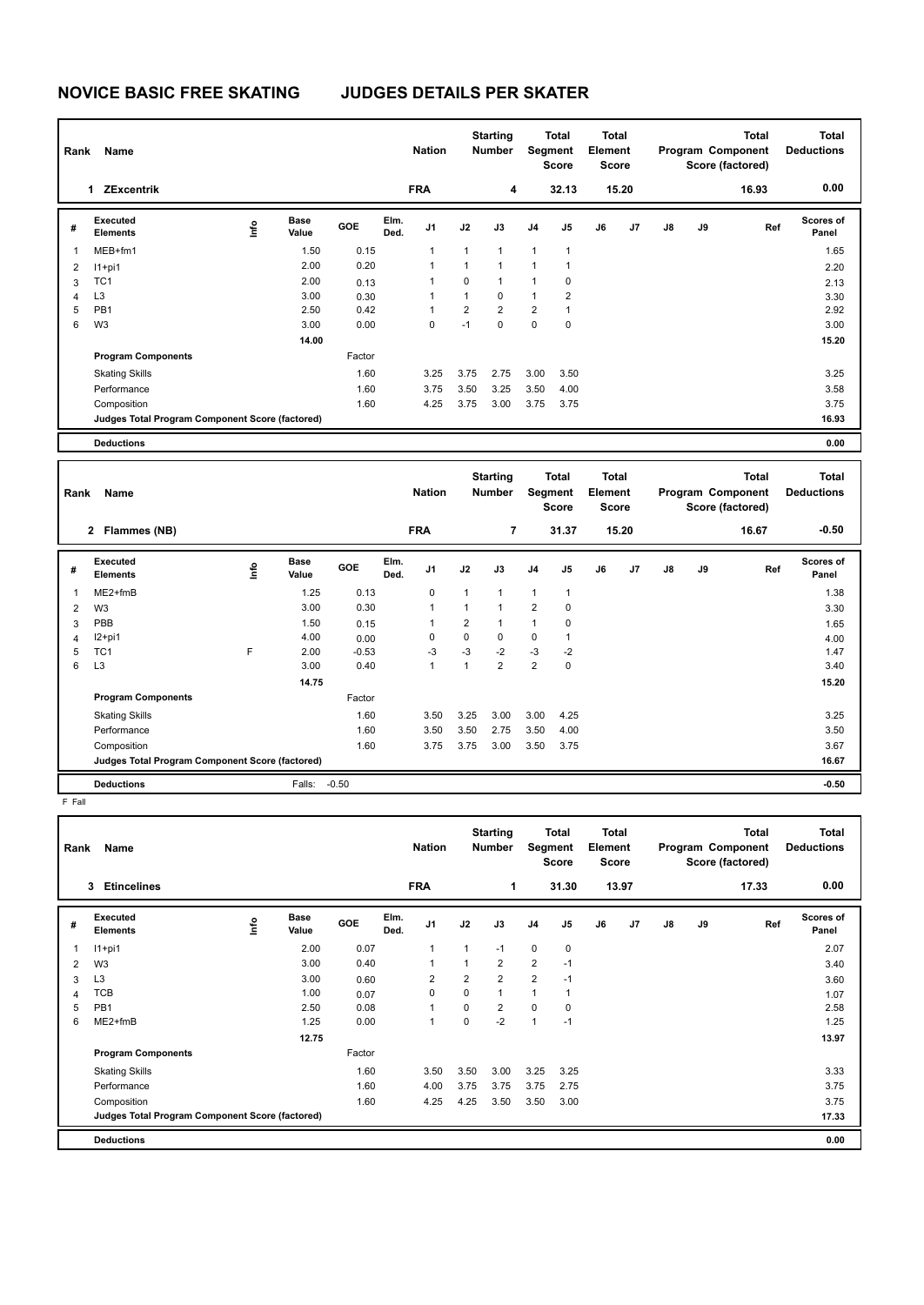## **NOVICE BASIC FREE SKATING JUDGES DETAILS PER SKATER**

| Rank           | Name                                            |    |                      |         |              | <b>Nation</b>  |                | <b>Starting</b><br><b>Number</b> | Segment        | <b>Total</b><br><b>Score</b>            | <b>Total</b><br>Element<br>Score        |       |    |    | <b>Total</b><br>Program Component<br>Score (factored) | <b>Total</b><br><b>Deductions</b> |
|----------------|-------------------------------------------------|----|----------------------|---------|--------------|----------------|----------------|----------------------------------|----------------|-----------------------------------------|-----------------------------------------|-------|----|----|-------------------------------------------------------|-----------------------------------|
|                | 1 ZExcentrik                                    |    |                      |         |              | <b>FRA</b>     |                | 4                                |                | 32.13                                   |                                         | 15.20 |    |    | 16.93                                                 | 0.00                              |
| #              | Executed<br><b>Elements</b>                     | ۴ů | Base<br>Value        | GOE     | Elm.<br>Ded. | J <sub>1</sub> | J2             | J3                               | J <sub>4</sub> | J5                                      | J6                                      | J7    | J8 | J9 | Ref                                                   | Scores of<br>Panel                |
| $\mathbf{1}$   | MEB+fm1                                         |    | 1.50                 | 0.15    |              | 1              | $\mathbf{1}$   | $\mathbf{1}$                     | $\mathbf{1}$   | 1                                       |                                         |       |    |    |                                                       | 1.65                              |
| $\overline{2}$ | $11+pi1$                                        |    | 2.00                 | 0.20    |              | $\mathbf{1}$   | $\mathbf{1}$   | $\mathbf{1}$                     | $\mathbf{1}$   | $\mathbf{1}$                            |                                         |       |    |    |                                                       | 2.20                              |
| 3              | TC <sub>1</sub>                                 |    | 2.00                 | 0.13    |              | $\mathbf{1}$   | 0              | $\mathbf{1}$                     | $\mathbf{1}$   | 0                                       |                                         |       |    |    |                                                       | 2.13                              |
| 4              | L <sub>3</sub>                                  |    | 3.00                 | 0.30    |              | 1              | $\mathbf{1}$   | $\mathbf 0$                      | $\mathbf{1}$   | $\overline{2}$                          |                                         |       |    |    |                                                       | 3.30                              |
| 5              | PB <sub>1</sub>                                 |    | 2.50                 | 0.42    |              | $\mathbf{1}$   | $\overline{2}$ | $\overline{2}$                   | $\overline{2}$ | 1                                       |                                         |       |    |    |                                                       | 2.92                              |
| 6              | W <sub>3</sub>                                  |    | 3.00                 | 0.00    |              | $\mathbf 0$    | $-1$           | $\mathbf 0$                      | $\mathbf 0$    | $\mathbf 0$                             |                                         |       |    |    |                                                       | 3.00                              |
|                |                                                 |    | 14.00                |         |              |                |                |                                  |                |                                         |                                         |       |    |    |                                                       | 15.20                             |
|                | <b>Program Components</b>                       |    |                      | Factor  |              |                |                |                                  |                |                                         |                                         |       |    |    |                                                       |                                   |
|                | <b>Skating Skills</b>                           |    |                      | 1.60    |              | 3.25           | 3.75           | 2.75                             | 3.00           | 3.50                                    |                                         |       |    |    |                                                       | 3.25                              |
|                | Performance                                     |    |                      | 1.60    |              | 3.75           | 3.50           | 3.25                             | 3.50           | 4.00                                    |                                         |       |    |    |                                                       | 3.58                              |
|                | Composition                                     |    |                      | 1.60    |              | 4.25           | 3.75           | 3.00                             | 3.75           | 3.75                                    |                                         |       |    |    |                                                       | 3.75                              |
|                | Judges Total Program Component Score (factored) |    |                      |         |              |                |                |                                  |                |                                         |                                         |       |    |    |                                                       | 16.93                             |
|                |                                                 |    |                      |         |              |                |                |                                  |                |                                         |                                         |       |    |    |                                                       |                                   |
|                | <b>Deductions</b>                               |    |                      |         |              |                |                |                                  |                |                                         |                                         |       |    |    |                                                       | 0.00                              |
|                |                                                 |    |                      |         |              |                |                |                                  |                |                                         |                                         |       |    |    |                                                       |                                   |
| Rank           | Name                                            |    |                      |         |              | <b>Nation</b>  |                | <b>Starting</b><br><b>Number</b> |                | <b>Total</b><br><b>Segment</b><br>Score | <b>Total</b><br>Element<br><b>Score</b> |       |    |    | <b>Total</b><br>Program Component<br>Score (factored) | <b>Total</b><br><b>Deductions</b> |
|                | 2 Flammes (NB)                                  |    |                      |         |              | <b>FRA</b>     |                | $\overline{\mathbf{r}}$          |                | 31.37                                   |                                         | 15.20 |    |    | 16.67                                                 | $-0.50$                           |
| #              | Executed<br><b>Elements</b>                     | ۴o | <b>Base</b><br>Value | GOE     | Elm.<br>Ded. | J1             | J2             | J3                               | J <sub>4</sub> | $\mathsf{J}5$                           | J6                                      | J7    | J8 | J9 | Ref                                                   | <b>Scores of</b><br>Panel         |
| $\mathbf{1}$   | ME2+fmB                                         |    | 1.25                 | 0.13    |              | 0              | 1              | $\mathbf{1}$                     | $\mathbf{1}$   | $\mathbf{1}$                            |                                         |       |    |    |                                                       | 1.38                              |
| $\overline{2}$ | W <sub>3</sub>                                  |    | 3.00                 | 0.30    |              | $\mathbf{1}$   | $\mathbf{1}$   | $\mathbf{1}$                     | $\overline{2}$ | 0                                       |                                         |       |    |    |                                                       | 3.30                              |
| 3              | PBB                                             |    | 1.50                 | 0.15    |              | 1              | $\overline{2}$ | $\mathbf{1}$                     | $\mathbf{1}$   | $\mathbf 0$                             |                                         |       |    |    |                                                       | 1.65                              |
| $\overline{4}$ | $I2+pi1$                                        |    | 4.00                 | 0.00    |              | $\mathbf 0$    | 0              | $\mathbf 0$                      | 0              | $\mathbf{1}$                            |                                         |       |    |    |                                                       | 4.00                              |
| 5              | TC <sub>1</sub>                                 | F  | 2.00                 | $-0.53$ |              | $-3$           | $-3$           | $-2$                             | -3             | $-2$                                    |                                         |       |    |    |                                                       | 1.47                              |
| 6              | L <sub>3</sub>                                  |    | 3.00                 | 0.40    |              | $\mathbf{1}$   | $\mathbf{1}$   | $\overline{2}$                   | 2              | $\mathbf 0$                             |                                         |       |    |    |                                                       | 3.40                              |
|                |                                                 |    | 14.75                |         |              |                |                |                                  |                |                                         |                                         |       |    |    |                                                       | 15.20                             |
|                | <b>Program Components</b>                       |    |                      | Factor  |              |                |                |                                  |                |                                         |                                         |       |    |    |                                                       |                                   |
|                | <b>Skating Skills</b>                           |    |                      | 1.60    |              | 3.50           | 3.25           | 3.00                             | 3.00           | 4.25                                    |                                         |       |    |    |                                                       | 3.25                              |

**Deductions** Falls: -0.50 **-0.50**

F Fall

| Rank | Name                                            |                         |                      |            |              | <b>Nation</b>  |                | <b>Starting</b><br><b>Number</b> | Segment        | <b>Total</b><br><b>Score</b> | <b>Total</b><br>Element<br><b>Score</b> |                |               |    | <b>Total</b><br>Program Component<br>Score (factored) | <b>Total</b><br><b>Deductions</b> |
|------|-------------------------------------------------|-------------------------|----------------------|------------|--------------|----------------|----------------|----------------------------------|----------------|------------------------------|-----------------------------------------|----------------|---------------|----|-------------------------------------------------------|-----------------------------------|
|      | 3<br><b>Etincelines</b>                         |                         |                      |            |              | <b>FRA</b>     |                | $\mathbf 1$                      |                | 31.30                        |                                         | 13.97          |               |    | 17.33                                                 | 0.00                              |
| #    | Executed<br><b>Elements</b>                     | $\mathsf{f}^\mathsf{o}$ | <b>Base</b><br>Value | <b>GOE</b> | Elm.<br>Ded. | J <sub>1</sub> | J2             | J3                               | J <sub>4</sub> | J5                           | J6                                      | J <sub>7</sub> | $\mathsf{J}8$ | J9 | Ref                                                   | <b>Scores of</b><br>Panel         |
| 1    | $11+pi1$                                        |                         | 2.00                 | 0.07       |              | 1              | 1              | $-1$                             | $\mathbf 0$    | $\mathbf 0$                  |                                         |                |               |    |                                                       | 2.07                              |
| 2    | W <sub>3</sub>                                  |                         | 3.00                 | 0.40       |              | 1              | 1              | $\overline{2}$                   | $\overline{2}$ | $-1$                         |                                         |                |               |    |                                                       | 3.40                              |
| 3    | L <sub>3</sub>                                  |                         | 3.00                 | 0.60       |              | $\overline{2}$ | $\overline{2}$ | $\overline{2}$                   | $\overline{2}$ | $-1$                         |                                         |                |               |    |                                                       | 3.60                              |
| 4    | <b>TCB</b>                                      |                         | 1.00                 | 0.07       |              | 0              | $\mathbf 0$    | $\mathbf{1}$                     | $\mathbf{1}$   | 1                            |                                         |                |               |    |                                                       | 1.07                              |
| 5    | PB <sub>1</sub>                                 |                         | 2.50                 | 0.08       |              | 1              | $\mathbf 0$    | $\overline{2}$                   | $\mathbf 0$    | 0                            |                                         |                |               |    |                                                       | 2.58                              |
| 6    | ME2+fmB                                         |                         | 1.25                 | 0.00       |              | 1              | $\mathbf 0$    | $-2$                             | $\mathbf{1}$   | $-1$                         |                                         |                |               |    |                                                       | 1.25                              |
|      |                                                 |                         | 12.75                |            |              |                |                |                                  |                |                              |                                         |                |               |    |                                                       | 13.97                             |
|      | <b>Program Components</b>                       |                         |                      | Factor     |              |                |                |                                  |                |                              |                                         |                |               |    |                                                       |                                   |
|      | <b>Skating Skills</b>                           |                         |                      | 1.60       |              | 3.50           | 3.50           | 3.00                             | 3.25           | 3.25                         |                                         |                |               |    |                                                       | 3.33                              |
|      | Performance                                     |                         |                      | 1.60       |              | 4.00           | 3.75           | 3.75                             | 3.75           | 2.75                         |                                         |                |               |    |                                                       | 3.75                              |
|      | Composition                                     |                         |                      | 1.60       |              | 4.25           | 4.25           | 3.50                             | 3.50           | 3.00                         |                                         |                |               |    |                                                       | 3.75                              |
|      | Judges Total Program Component Score (factored) |                         |                      |            |              |                |                |                                  |                |                              |                                         |                |               |    |                                                       | 17.33                             |
|      | <b>Deductions</b>                               |                         |                      |            |              |                |                |                                  |                |                              |                                         |                |               |    |                                                       | 0.00                              |

Performance 1.60 3.50 3.50 2.75 3.50 4.00 3.50 Composition 1.60 3.75 3.75 3.00 3.50 3.75 3.67

**Judges Total Program Component Score (factored) 16.67**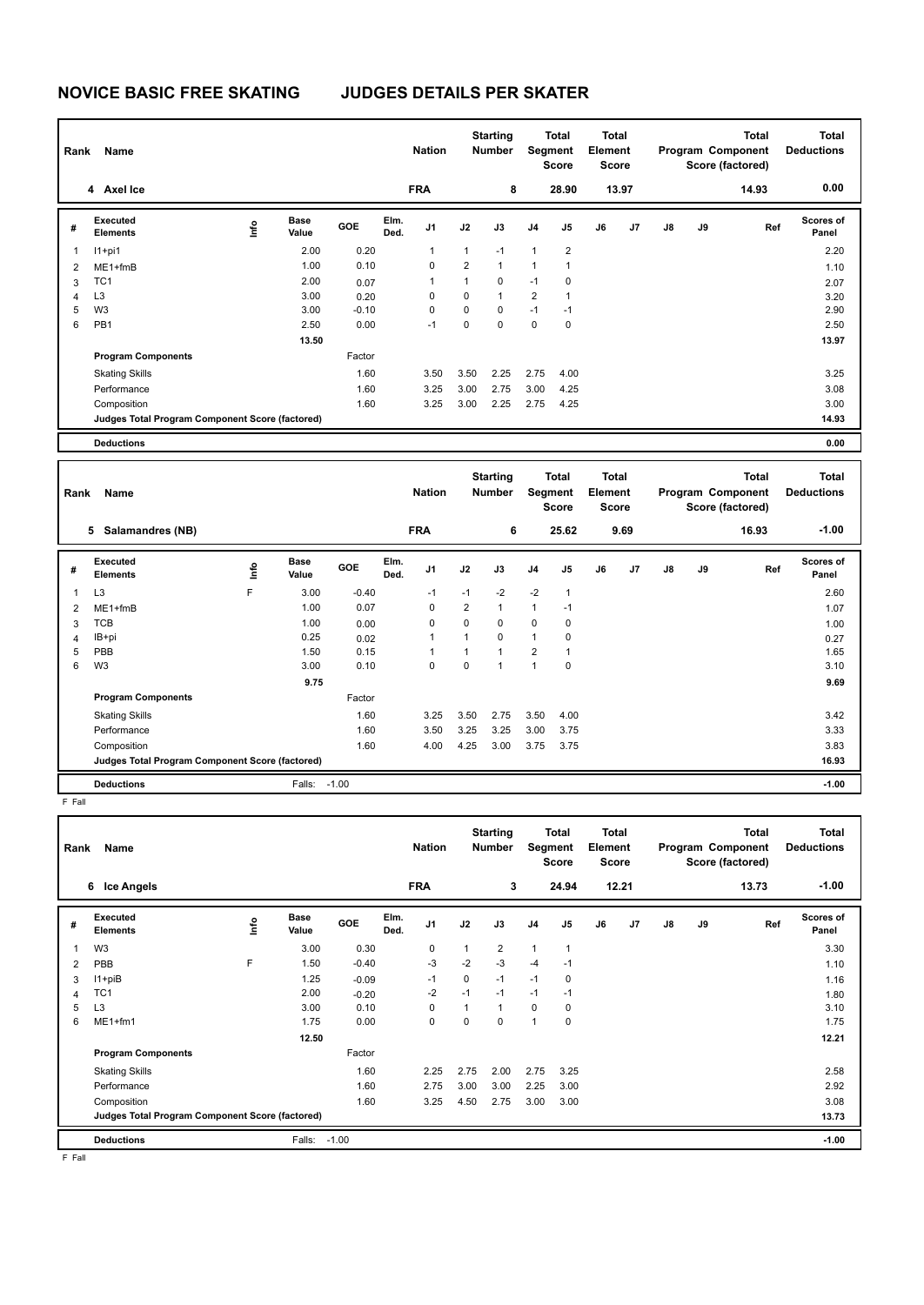## **NOVICE BASIC FREE SKATING JUDGES DETAILS PER SKATER**

| Rank           | Name                                            |    |                      |         |              | <b>Nation</b>  |                | <b>Starting</b><br><b>Number</b> |                         | <b>Total</b><br>Segment<br>Score | Total<br>Element<br><b>Score</b>        |       |    |    | <b>Total</b><br>Program Component<br>Score (factored) | <b>Total</b><br><b>Deductions</b> |
|----------------|-------------------------------------------------|----|----------------------|---------|--------------|----------------|----------------|----------------------------------|-------------------------|----------------------------------|-----------------------------------------|-------|----|----|-------------------------------------------------------|-----------------------------------|
|                | 4 Axel Ice                                      |    |                      |         |              | <b>FRA</b>     |                | 8                                |                         | 28.90                            |                                         | 13.97 |    |    | 14.93                                                 | 0.00                              |
| #              | Executed<br><b>Elements</b>                     | ۴٥ | <b>Base</b><br>Value | GOE     | Elm.<br>Ded. | J <sub>1</sub> | J2             | J3                               | J <sub>4</sub>          | J <sub>5</sub>                   | J6                                      | J7    | J8 | J9 | Ref                                                   | Scores of<br>Panel                |
| $\mathbf{1}$   | $11+pi1$                                        |    | 2.00                 | 0.20    |              | $\mathbf{1}$   | $\mathbf{1}$   | $-1$                             | $\mathbf{1}$            | $\overline{2}$                   |                                         |       |    |    |                                                       | 2.20                              |
| 2              | $ME1 + fmB$                                     |    | 1.00                 | 0.10    |              | $\mathbf 0$    | $\overline{2}$ | $\mathbf{1}$                     | $\mathbf{1}$            | $\mathbf{1}$                     |                                         |       |    |    |                                                       | 1.10                              |
| 3              | TC <sub>1</sub>                                 |    | 2.00                 | 0.07    |              | 1              | $\mathbf{1}$   | $\pmb{0}$                        | $-1$                    | 0                                |                                         |       |    |    |                                                       | 2.07                              |
| 4              | L <sub>3</sub>                                  |    | 3.00                 | 0.20    |              | $\mathbf 0$    | 0              | $\mathbf{1}$                     | $\overline{2}$          | $\mathbf{1}$                     |                                         |       |    |    |                                                       | 3.20                              |
| 5              | W <sub>3</sub>                                  |    | 3.00                 | $-0.10$ |              | $\mathbf 0$    | 0              | $\mathbf 0$                      | $-1$                    | $-1$                             |                                         |       |    |    |                                                       | 2.90                              |
| 6              | PB <sub>1</sub>                                 |    | 2.50                 | 0.00    |              | $-1$           | 0              | $\Omega$                         | $\mathsf 0$             | $\mathbf 0$                      |                                         |       |    |    |                                                       | 2.50                              |
|                |                                                 |    | 13.50                |         |              |                |                |                                  |                         |                                  |                                         |       |    |    |                                                       | 13.97                             |
|                | <b>Program Components</b>                       |    |                      | Factor  |              |                |                |                                  |                         |                                  |                                         |       |    |    |                                                       |                                   |
|                | <b>Skating Skills</b>                           |    |                      | 1.60    |              | 3.50           | 3.50           | 2.25                             | 2.75                    | 4.00                             |                                         |       |    |    |                                                       | 3.25                              |
|                | Performance                                     |    |                      | 1.60    |              | 3.25           | 3.00           | 2.75                             | 3.00                    | 4.25                             |                                         |       |    |    |                                                       | 3.08                              |
|                | Composition                                     |    |                      | 1.60    |              | 3.25           | 3.00           | 2.25                             | 2.75                    | 4.25                             |                                         |       |    |    |                                                       | 3.00                              |
|                | Judges Total Program Component Score (factored) |    |                      |         |              |                |                |                                  |                         |                                  |                                         |       |    |    |                                                       | 14.93                             |
|                | <b>Deductions</b>                               |    |                      |         |              |                |                |                                  |                         |                                  |                                         |       |    |    |                                                       | 0.00                              |
|                |                                                 |    |                      |         |              |                |                |                                  |                         |                                  |                                         |       |    |    |                                                       |                                   |
| Rank           | Name                                            |    |                      |         |              | <b>Nation</b>  |                | <b>Starting</b><br><b>Number</b> |                         | <b>Total</b><br>Segment<br>Score | <b>Total</b><br>Element<br><b>Score</b> |       |    |    | <b>Total</b><br>Program Component<br>Score (factored) | <b>Total</b><br><b>Deductions</b> |
|                | 5 Salamandres (NB)                              |    |                      |         |              | <b>FRA</b>     |                | 6                                |                         | 25.62                            |                                         | 9.69  |    |    | 16.93                                                 | $-1.00$                           |
| #              | Executed<br><b>Elements</b>                     | ۴  | <b>Base</b><br>Value | GOE     | Elm.<br>Ded. | J <sub>1</sub> | J2             | J3                               | J <sub>4</sub>          | $\mathsf{J}5$                    | J6                                      | J7    | J8 | J9 | Ref                                                   | Scores of<br>Panel                |
| $\mathbf{1}$   | L <sub>3</sub>                                  | F  | 3.00                 | $-0.40$ |              | $-1$           | $-1$           | $-2$                             | $-2$                    | $\mathbf{1}$                     |                                         |       |    |    |                                                       | 2.60                              |
| $\overline{2}$ | $ME1 + fmB$                                     |    | 1.00                 | 0.07    |              | $\mathbf 0$    | $\overline{2}$ | $\mathbf{1}$                     | $\mathbf{1}$            | $-1$                             |                                         |       |    |    |                                                       | 1.07                              |
| 3              | <b>TCB</b>                                      |    | 1.00                 | 0.00    |              | $\mathbf 0$    | 0              | $\mathbf 0$                      | 0                       | $\mathbf 0$                      |                                         |       |    |    |                                                       | 1.00                              |
| $\overline{4}$ | IB+pi                                           |    | 0.25                 | 0.02    |              | 1              | $\mathbf{1}$   | $\mathbf 0$                      | $\mathbf{1}$            | 0                                |                                         |       |    |    |                                                       | 0.27                              |
| 5              | PBB                                             |    | 1.50                 | 0.15    |              | $\mathbf{1}$   | $\mathbf{1}$   | $\mathbf{1}$                     | $\overline{\mathbf{c}}$ | $\mathbf{1}$                     |                                         |       |    |    |                                                       | 1.65                              |
| 6              | W <sub>3</sub>                                  |    | 3.00                 | 0.10    |              | $\mathbf 0$    | $\overline{0}$ | $\overline{1}$                   | $\mathbf{1}$            | $\mathbf 0$                      |                                         |       |    |    |                                                       | 3.10                              |
|                |                                                 |    | 9.75                 |         |              |                |                |                                  |                         |                                  |                                         |       |    |    |                                                       | 9.69                              |
|                | <b>Program Components</b>                       |    |                      | Factor  |              |                |                |                                  |                         |                                  |                                         |       |    |    |                                                       |                                   |

**Judges Total Program Component Score (factored) 16.93**

**Deductions** Falls: -1.00 **-1.00**

F Fall

| Rank | Name<br><b>Ice Angels</b><br>6                  |      |                      |         |              | <b>Nation</b><br><b>FRA</b> |          | <b>Starting</b><br>Number<br>3 | Segment | Total<br><b>Score</b><br>24.94 | Total<br>Element<br><b>Score</b> | 12.21 |               |    | <b>Total</b><br>Program Component<br>Score (factored)<br>13.73 | <b>Total</b><br><b>Deductions</b><br>$-1.00$ |
|------|-------------------------------------------------|------|----------------------|---------|--------------|-----------------------------|----------|--------------------------------|---------|--------------------------------|----------------------------------|-------|---------------|----|----------------------------------------------------------------|----------------------------------------------|
|      |                                                 |      |                      |         |              |                             |          |                                |         |                                |                                  |       |               |    |                                                                |                                              |
| #    | Executed<br><b>Elements</b>                     | lnfo | <b>Base</b><br>Value | GOE     | Elm.<br>Ded. | J1                          | J2       | J3                             | J4      | J5                             | J6                               | J7    | $\mathsf{J}8$ | J9 | Ref                                                            | <b>Scores of</b><br>Panel                    |
|      | W <sub>3</sub>                                  |      | 3.00                 | 0.30    |              | $\mathbf 0$                 | 1        | $\overline{2}$                 | 1       | 1                              |                                  |       |               |    |                                                                | 3.30                                         |
| 2    | PBB                                             | F    | 1.50                 | $-0.40$ |              | $-3$                        | $-2$     | $-3$                           | $-4$    | $-1$                           |                                  |       |               |    |                                                                | 1.10                                         |
| 3    | $11 + piB$                                      |      | 1.25                 | $-0.09$ |              | $-1$                        | 0        | $-1$                           | $-1$    | 0                              |                                  |       |               |    |                                                                | 1.16                                         |
| 4    | TC <sub>1</sub>                                 |      | 2.00                 | $-0.20$ |              | $-2$                        | $-1$     | $-1$                           | $-1$    | $-1$                           |                                  |       |               |    |                                                                | 1.80                                         |
| 5    | L <sub>3</sub>                                  |      | 3.00                 | 0.10    |              | 0                           | 1        | $\overline{1}$                 | 0       | 0                              |                                  |       |               |    |                                                                | 3.10                                         |
| 6    | ME1+fm1                                         |      | 1.75                 | 0.00    |              | $\mathbf 0$                 | $\Omega$ | 0                              | 1       | 0                              |                                  |       |               |    |                                                                | 1.75                                         |
|      |                                                 |      | 12.50                |         |              |                             |          |                                |         |                                |                                  |       |               |    |                                                                | 12.21                                        |
|      | <b>Program Components</b>                       |      |                      | Factor  |              |                             |          |                                |         |                                |                                  |       |               |    |                                                                |                                              |
|      | <b>Skating Skills</b>                           |      |                      | 1.60    |              | 2.25                        | 2.75     | 2.00                           | 2.75    | 3.25                           |                                  |       |               |    |                                                                | 2.58                                         |
|      | Performance                                     |      |                      | 1.60    |              | 2.75                        | 3.00     | 3.00                           | 2.25    | 3.00                           |                                  |       |               |    |                                                                | 2.92                                         |
|      | Composition                                     |      |                      | 1.60    |              | 3.25                        | 4.50     | 2.75                           | 3.00    | 3.00                           |                                  |       |               |    |                                                                | 3.08                                         |
|      | Judges Total Program Component Score (factored) |      |                      |         |              |                             |          |                                |         |                                |                                  |       |               |    |                                                                | 13.73                                        |
|      | <b>Deductions</b>                               |      | Falls:               | $-1.00$ |              |                             |          |                                |         |                                |                                  |       |               |    |                                                                | $-1.00$                                      |

Skating Skills 3.25 3.50 2.75 3.50 4.00 1.60 3.42

Performance 1.60 3.50 3.25 3.25 3.00 3.75 3.33 Composition 1.60 4.00 4.25 3.00 3.75 3.75 3.83